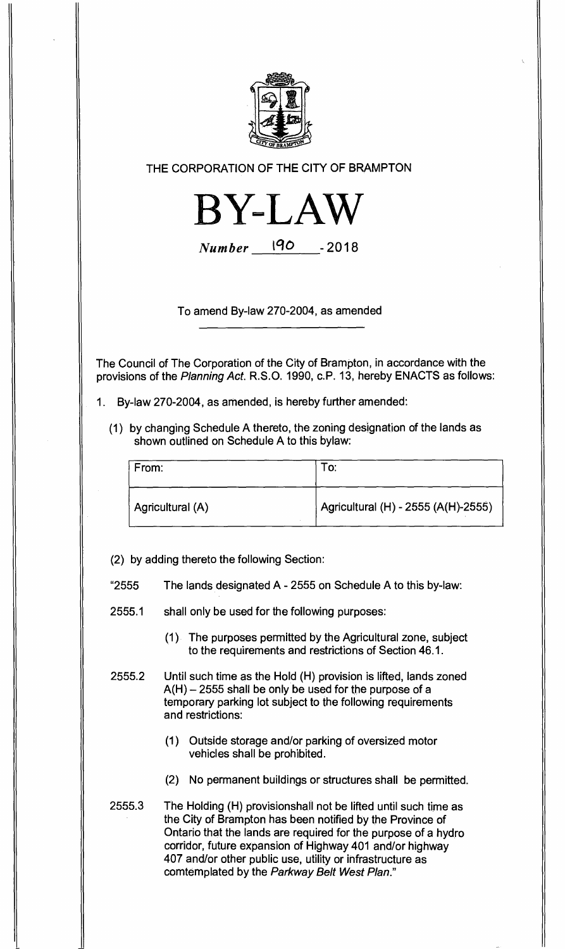

THE CORPORATION OF THE CITY OF BRAMPTON



Number 190 - 2018

To amend By-law 270-2004, as amended

The Council of The Corporation of the City of Brampton, in accordance with the provisions of the Planning Act. R.S.O. 1990, c.P. 13, hereby ENACTS as follows:

- 1. By-law 270-2004, as amended, is hereby further amended:
	- (1) by changing Schedule A thereto, the zoning designation of the lands as shown outlined on Schedule A to this bylaw:

| From:            |                                     |
|------------------|-------------------------------------|
| Agricultural (A) | Agricultural (H) - 2555 (A(H)-2555) |

(2) by adding thereto the following Section:

- "2555 The lands designated A 2555 on Schedule A to this by-law:
- 2555.1 shall only be used for the following purposes:
	- (1) The purposes permitted by the Agricultural zone, subject to the requirements and restrictions of Section 46.1.
- 2555.2 Until such time as the Hold (H) provision is lifted, lands zoned A(H) — 2555 shall be only be used for the purpose of a temporary parking lot subject to the following requirements and restrictions:
	- (1) Outside storage and/or parking of oversized motor vehicles shall be prohibited.
	- (2) No permanent buildings or structures shall be permitted.
- 2555.3 The Holding (H) provisionshall not be lifted until such time as the City of Brampton has been notified by the Province of Ontario that the lands are required for the purpose of a hydro corridor, future expansion of Highway 401 and/or highway 407 and/or other public use, utility or infrastructure as comtemplated by the Parkway Belt West Plan."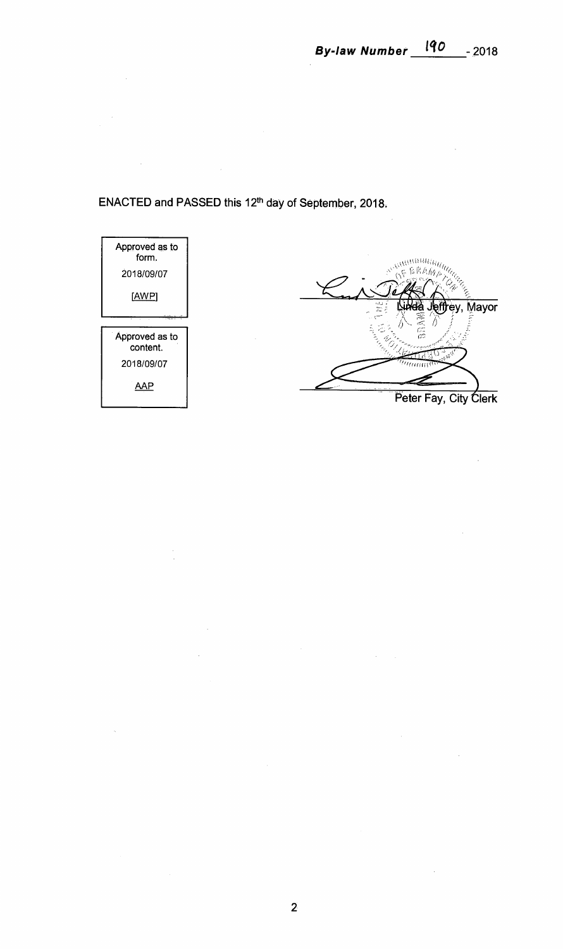**ENACTED and PASSED this 12th day of September, 2018.** 

 $\frac{1}{\sqrt{2}}$ 

 $\bar{a}$ 



 $\bar{z}$ 

 $\mathcal{L}_{\mathbf{a}}$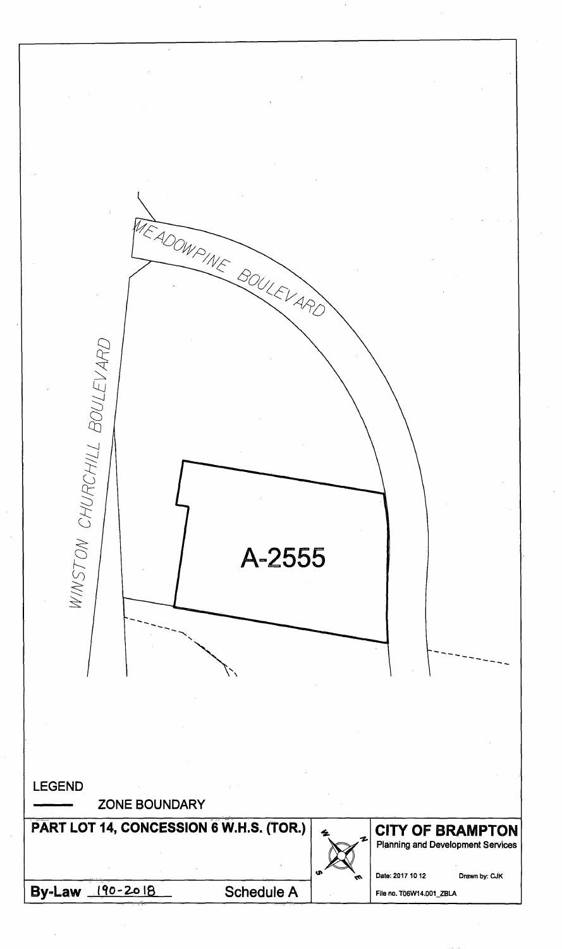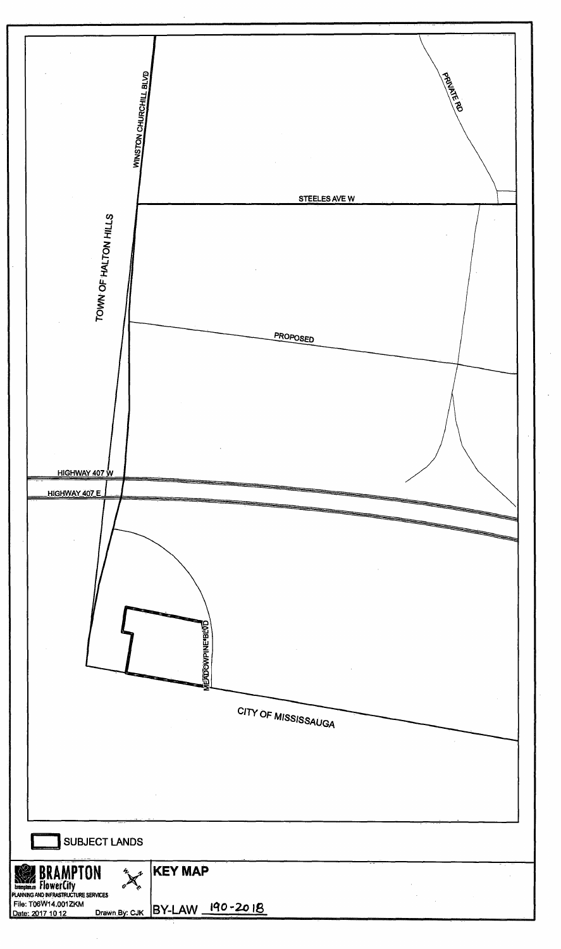